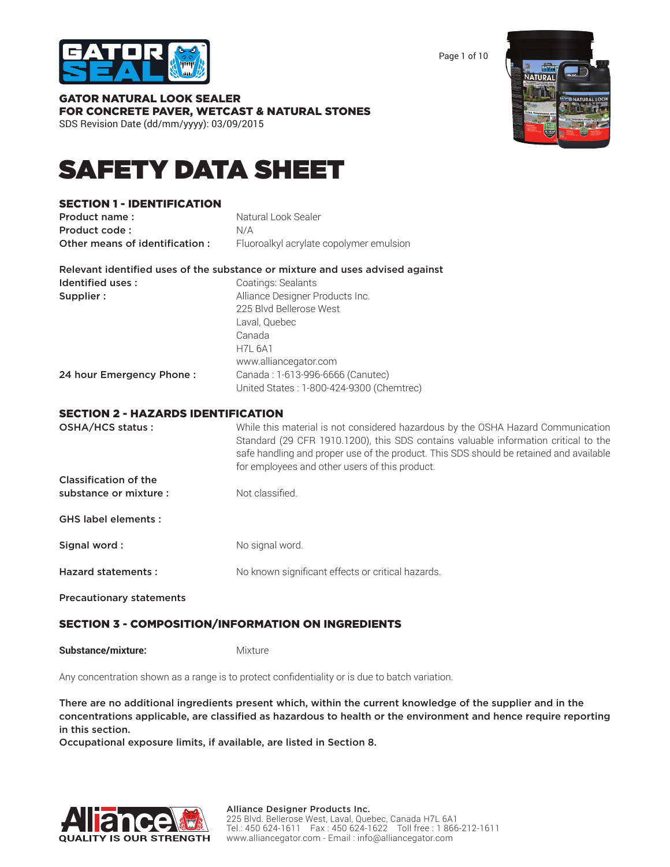

Page 1 of 10

| GATOR NATURAL LOOK SEALER                    |  |  |
|----------------------------------------------|--|--|
| FOR CONCRETE PAVER, WETCAST & NATURAL STONES |  |  |
| SDS Revision Date (dd/mm/yyyy): 03/09/2015   |  |  |



# SAFETY DATA SHEET

# SECTION 1 - IDENTIFICATION

| Product name:                  | Natural Look Sealer                     |
|--------------------------------|-----------------------------------------|
| Product code:                  | N/A                                     |
| Other means of identification: | Fluoroalkyl acrylate copolymer emulsion |

| Relevant identified uses of the substance or mixture and uses advised against |                                 |
|-------------------------------------------------------------------------------|---------------------------------|
| Identified uses :                                                             | Coatings: Sealants              |
| Supplier :                                                                    | Alliance Designer Products Inc. |
|                                                                               | 225 Blvd Bellerose West         |

|                          | Laval, Quebec                            |
|--------------------------|------------------------------------------|
|                          | Canada                                   |
|                          | <b>H7L 6A1</b>                           |
|                          | www.alliancegator.com                    |
| 24 hour Emergency Phone: | Canada: 1-613-996-6666 (Canutec)         |
|                          | United States: 1-800-424-9300 (Chemtrec) |

### SECTION 2 - HAZARDS IDENTIFICATION

| OSHA/HCS status:                | While this material is not considered hazardous by the OSHA Hazard Communication<br>Standard (29 CFR 1910.1200), this SDS contains valuable information critical to the<br>safe handling and proper use of the product. This SDS should be retained and available<br>for employees and other users of this product. |
|---------------------------------|---------------------------------------------------------------------------------------------------------------------------------------------------------------------------------------------------------------------------------------------------------------------------------------------------------------------|
| Classification of the           |                                                                                                                                                                                                                                                                                                                     |
| substance or mixture :          | Not classified.                                                                                                                                                                                                                                                                                                     |
| <b>GHS label elements:</b>      |                                                                                                                                                                                                                                                                                                                     |
| Signal word:                    | No signal word.                                                                                                                                                                                                                                                                                                     |
| Hazard statements:              | No known significant effects or critical hazards.                                                                                                                                                                                                                                                                   |
| <b>Precautionary statements</b> |                                                                                                                                                                                                                                                                                                                     |

# SECTION 3 - COMPOSITION/INFORMATION ON INGREDIENTS

**Substance/mixture:** Mixture

Any concentration shown as a range is to protect confidentiality or is due to batch variation.

There are no additional ingredients present which, within the current knowledge of the supplier and in the concentrations applicable, are classified as hazardous to health or the environment and hence require reporting in this section.

Occupational exposure limits, if available, are listed in Section 8.

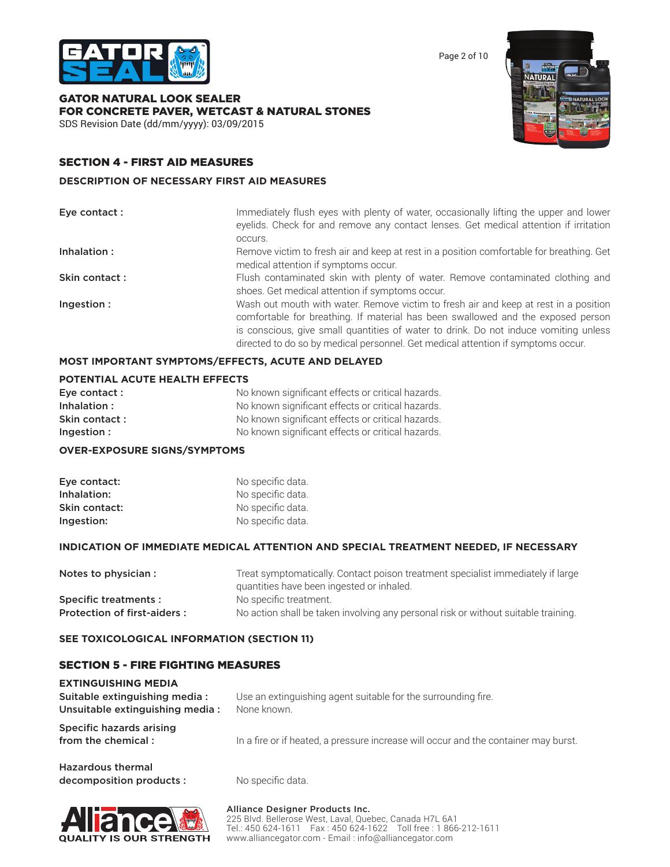

Page 2 of 10

GATOR NATURAL LOOK SEALER FOR CONCRETE PAVER, WETCAST & NATURAL STONES SDS Revision Date (dd/mm/yyyy): 03/09/2015



# SECTION 4 - FIRST AID MEASURES

### **DESCRIPTION OF NECESSARY FIRST AID MEASURES**

| Eye contact : | Immediately flush eyes with plenty of water, occasionally lifting the upper and lower<br>eyelids. Check for and remove any contact lenses. Get medical attention if irritation<br>occurs.                                                                                                                                                            |
|---------------|------------------------------------------------------------------------------------------------------------------------------------------------------------------------------------------------------------------------------------------------------------------------------------------------------------------------------------------------------|
| Inhalation:   | Remove victim to fresh air and keep at rest in a position comfortable for breathing. Get<br>medical attention if symptoms occur.                                                                                                                                                                                                                     |
| Skin contact: | Flush contaminated skin with plenty of water. Remove contaminated clothing and<br>shoes. Get medical attention if symptoms occur.                                                                                                                                                                                                                    |
| Ingestion:    | Wash out mouth with water. Remove victim to fresh air and keep at rest in a position<br>comfortable for breathing. If material has been swallowed and the exposed person<br>is conscious, give small quantities of water to drink. Do not induce vomiting unless<br>directed to do so by medical personnel. Get medical attention if symptoms occur. |

### **MOST IMPORTANT SYMPTOMS/EFFECTS, ACUTE AND DELAYED**

### **POTENTIAL ACUTE HEALTH EFFECTS**

| Eve contact:  | No known significant effects or critical hazards. |
|---------------|---------------------------------------------------|
| Inhalation:   | No known significant effects or critical hazards. |
| Skin contact: | No known significant effects or critical hazards. |
| Ingestion:    | No known significant effects or critical hazards. |

### **OVER-EXPOSURE SIGNS/SYMPTOMS**

| Eye contact:  | No specific data. |
|---------------|-------------------|
| Inhalation:   | No specific data. |
| Skin contact: | No specific data. |
| Ingestion:    | No specific data. |

#### **INDICATION OF IMMEDIATE MEDICAL ATTENTION AND SPECIAL TREATMENT NEEDED, IF NECESSARY**

| Notes to physician :        | Treat symptomatically. Contact poison treatment specialist immediately if large    |
|-----------------------------|------------------------------------------------------------------------------------|
|                             | quantities have been ingested or inhaled.                                          |
| Specific treatments :       | No specific treatment.                                                             |
| Protection of first-aiders: | No action shall be taken involving any personal risk or without suitable training. |

### **SEE TOXICOLOGICAL INFORMATION (SECTION 11)**

### SECTION 5 - FIRE FIGHTING MEASURES

| <b>EXTINGUISHING MEDIA</b><br>Suitable extinguishing media:<br>Unsuitable extinguishing media: | Use an extinguishing agent suitable for the surrounding fire.<br>None known.        |
|------------------------------------------------------------------------------------------------|-------------------------------------------------------------------------------------|
| Specific hazards arising<br>from the chemical:                                                 | In a fire or if heated, a pressure increase will occur and the container may burst. |
| المموسم والجبيب وامسمدها ال                                                                    |                                                                                     |

| <b>Hazardous thermal</b> |  |
|--------------------------|--|
| decomposition products : |  |

No specific data.



Alliance Designer Products Inc. 225 Blvd. Bellerose West, Laval, Quebec, Canada H7L 6A1 Tel.: 450 624-1611 Fax : 450 624-1622 Toll free : 1 866-212-1611 www.alliancegator.com - Email : info@alliancegator.com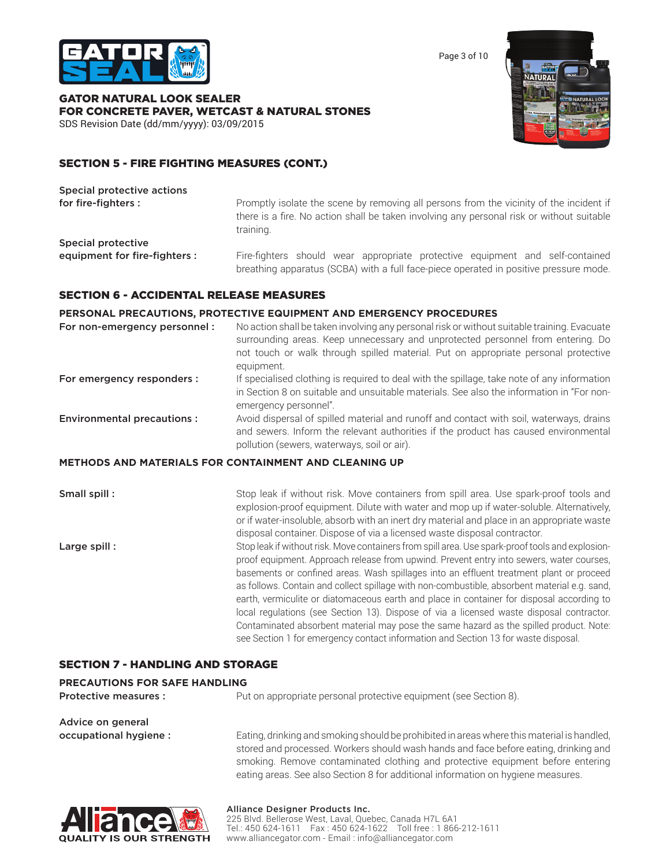

Page 3 of 10

GATOR NATURAL LOOK SEALER FOR CONCRETE PAVER, WETCAST & NATURAL STONES SDS Revision Date (dd/mm/yyyy): 03/09/2015



# SECTION 5 - FIRE FIGHTING MEASURES (CONT.)

| Special protective actions    |                                                                                                                                                                                                   |
|-------------------------------|---------------------------------------------------------------------------------------------------------------------------------------------------------------------------------------------------|
| for fire-fighters :           | Promptly isolate the scene by removing all persons from the vicinity of the incident if<br>there is a fire. No action shall be taken involving any personal risk or without suitable<br>training. |
| Special protective            |                                                                                                                                                                                                   |
| equipment for fire-fighters : | Fire-fighters should wear appropriate protective equipment and self-contained<br>breathing apparatus (SCBA) with a full face-piece operated in positive pressure mode.                            |

### SECTION 6 - ACCIDENTAL RELEASE MEASURES

### **PERSONAL PRECAUTIONS, PROTECTIVE EQUIPMENT AND EMERGENCY PROCEDURES**

| For non-emergency personnel :                                | No action shall be taken involving any personal risk or without suitable training. Evacuate<br>surrounding areas. Keep unnecessary and unprotected personnel from entering. Do<br>not touch or walk through spilled material. Put on appropriate personal protective<br>equipment.                                                                          |
|--------------------------------------------------------------|-------------------------------------------------------------------------------------------------------------------------------------------------------------------------------------------------------------------------------------------------------------------------------------------------------------------------------------------------------------|
| For emergency responders :                                   | If specialised clothing is required to deal with the spillage, take note of any information<br>in Section 8 on suitable and unsuitable materials. See also the information in "For non-<br>emergency personnel".                                                                                                                                            |
| <b>Environmental precautions:</b>                            | Avoid dispersal of spilled material and runoff and contact with soil, waterways, drains<br>and sewers. Inform the relevant authorities if the product has caused environmental<br>pollution (sewers, waterways, soil or air).                                                                                                                               |
| <b>METHODS AND MATERIALS FOR CONTAINMENT AND CLEANING UP</b> |                                                                                                                                                                                                                                                                                                                                                             |
| Small spill:                                                 | Stop leak if without risk. Move containers from spill area. Use spark-proof tools and<br>explosion-proof equipment. Dilute with water and mop up if water-soluble. Alternatively,<br>or if water-insoluble, absorb with an inert dry material and place in an appropriate waste<br>disposal container. Dispose of via a licensed waste disposal contractor. |
| Large spill:                                                 | Stop leak if without risk. Move containers from spill area. Use spark-proof tools and explosion-<br>proof equipment. Approach release from upwind. Prevent entry into sewers, water courses,<br>basements or confined areas. Wash spillages into an effluent treatment plant or proceed                                                                     |

as follows. Contain and collect spillage with non-combustible, absorbent material e.g. sand, earth, vermiculite or diatomaceous earth and place in container for disposal according to local regulations (see Section 13). Dispose of via a licensed waste disposal contractor. Contaminated absorbent material may pose the same hazard as the spilled product. Note: see Section 1 for emergency contact information and Section 13 for waste disposal.

# SECTION 7 - HANDLING AND STORAGE

#### **PRECAUTIONS FOR SAFE HANDLING**

**Protective measures :** Put on appropriate personal protective equipment (see Section 8).

Advice on general

occupational hygiene : Eating, drinking and smoking should be prohibited in areas where this material is handled, stored and processed. Workers should wash hands and face before eating, drinking and smoking. Remove contaminated clothing and protective equipment before entering eating areas. See also Section 8 for additional information on hygiene measures.



# Alliance Designer Products Inc.

225 Blvd. Bellerose West, Laval, Quebec, Canada H7L 6A1 Tel.: 450 624-1611 Fax : 450 624-1622 Toll free : 1 866-212-1611 www.alliancegator.com - Email : info@alliancegator.com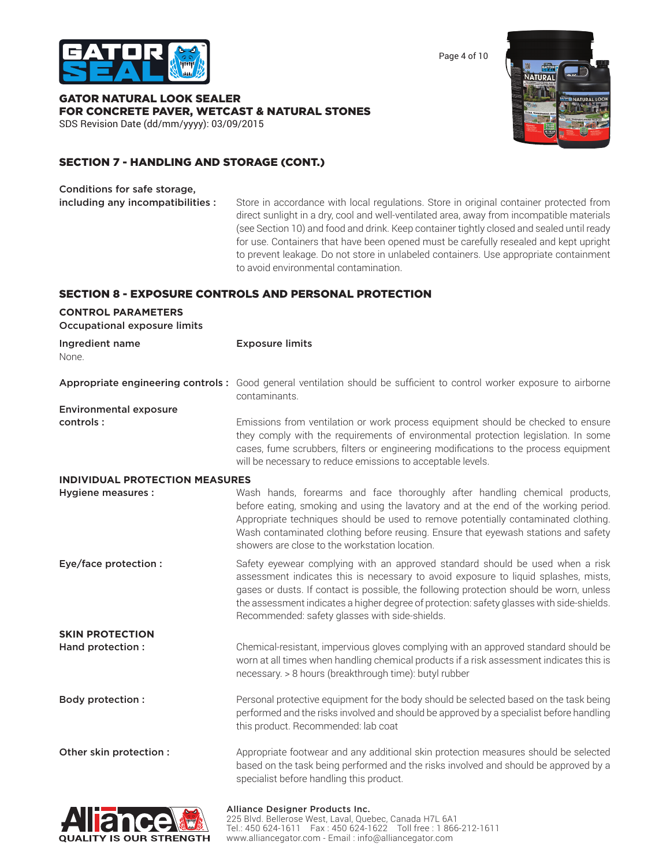

Page 4 of 10

GATOR NATURAL LOOK SEALER FOR CONCRETE PAVER, WETCAST & NATURAL STONES SDS Revision Date (dd/mm/yyyy): 03/09/2015



# SECTION 7 - HANDLING AND STORAGE (CONT.)

Conditions for safe storage,

including any incompatibilities : Store in accordance with local regulations. Store in original container protected from direct sunlight in a dry, cool and well-ventilated area, away from incompatible materials (see Section 10) and food and drink. Keep container tightly closed and sealed until ready for use. Containers that have been opened must be carefully resealed and kept upright to prevent leakage. Do not store in unlabeled containers. Use appropriate containment to avoid environmental contamination.

# SECTION 8 - EXPOSURE CONTROLS AND PERSONAL PROTECTION

| <b>CONTROL PARAMETERS</b><br><b>Occupational exposure limits</b> |                                                                                                                                                                                                                                                                                                                                                                                                                |
|------------------------------------------------------------------|----------------------------------------------------------------------------------------------------------------------------------------------------------------------------------------------------------------------------------------------------------------------------------------------------------------------------------------------------------------------------------------------------------------|
| Ingredient name<br>None.                                         | <b>Exposure limits</b>                                                                                                                                                                                                                                                                                                                                                                                         |
|                                                                  | Appropriate engineering controls: Good general ventilation should be sufficient to control worker exposure to airborne<br>contaminants.                                                                                                                                                                                                                                                                        |
| <b>Environmental exposure</b>                                    |                                                                                                                                                                                                                                                                                                                                                                                                                |
| controls:                                                        | Emissions from ventilation or work process equipment should be checked to ensure<br>they comply with the requirements of environmental protection legislation. In some<br>cases, fume scrubbers, filters or engineering modifications to the process equipment<br>will be necessary to reduce emissions to acceptable levels.                                                                                  |
| <b>INDIVIDUAL PROTECTION MEASURES</b>                            |                                                                                                                                                                                                                                                                                                                                                                                                                |
| <b>Hygiene measures:</b>                                         | Wash hands, forearms and face thoroughly after handling chemical products,<br>before eating, smoking and using the lavatory and at the end of the working period.<br>Appropriate techniques should be used to remove potentially contaminated clothing.<br>Wash contaminated clothing before reusing. Ensure that eyewash stations and safety<br>showers are close to the workstation location.                |
| Eye/face protection :                                            | Safety eyewear complying with an approved standard should be used when a risk<br>assessment indicates this is necessary to avoid exposure to liquid splashes, mists,<br>gases or dusts. If contact is possible, the following protection should be worn, unless<br>the assessment indicates a higher degree of protection: safety glasses with side-shields.<br>Recommended: safety glasses with side-shields. |
| <b>SKIN PROTECTION</b>                                           |                                                                                                                                                                                                                                                                                                                                                                                                                |
| Hand protection :                                                | Chemical-resistant, impervious gloves complying with an approved standard should be<br>worn at all times when handling chemical products if a risk assessment indicates this is<br>necessary. > 8 hours (breakthrough time): butyl rubber                                                                                                                                                                      |
| Body protection :                                                | Personal protective equipment for the body should be selected based on the task being<br>performed and the risks involved and should be approved by a specialist before handling<br>this product. Recommended: lab coat                                                                                                                                                                                        |
| Other skin protection :                                          | Appropriate footwear and any additional skin protection measures should be selected<br>based on the task being performed and the risks involved and should be approved by a<br>specialist before handling this product.                                                                                                                                                                                        |
|                                                                  |                                                                                                                                                                                                                                                                                                                                                                                                                |

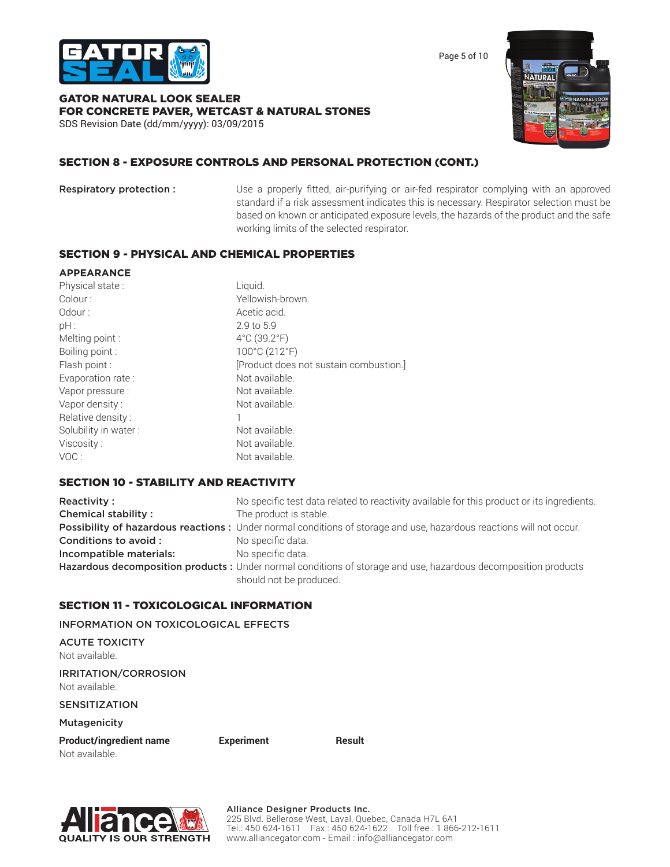

Page 5 of 10

# GATOR NATURAL LOOK SEALER FOR CONCRETE PAVER, WETCAST & NATURAL STONES

SDS Revision Date (dd/mm/yyyy): 03/09/2015



# SECTION 8 - EXPOSURE CONTROLS AND PERSONAL PROTECTION (CONT.)

**Respiratory protection :** Use a properly fitted, air-purifying or air-fed respirator complying with an approved standard if a risk assessment indicates this is necessary. Respirator selection must be based on known or anticipated exposure levels, the hazards of the product and the safe working limits of the selected respirator.

# SECTION 9 - PHYSICAL AND CHEMICAL PROPERTIES

### **APPEARANCE**

| Physical state:      | Liquid.                                |
|----------------------|----------------------------------------|
| Colour:              | Yellowish-brown.                       |
| Odour:               | Acetic acid.                           |
| $pH$ :               | 2.9 to 5.9                             |
| Melting point:       | $4^{\circ}$ C (39.2 $^{\circ}$ F)      |
| Boiling point:       | 100°C (212°F)                          |
| Flash point :        | [Product does not sustain combustion.] |
| Evaporation rate:    | Not available.                         |
| Vapor pressure:      | Not available.                         |
| Vapor density:       | Not available.                         |
| Relative density:    |                                        |
| Solubility in water: | Not available.                         |
| Viscosity:           | Not available.                         |
| VOC:                 | Not available.                         |

# SECTION 10 - STABILITY AND REACTIVITY

| Reactivity:                | No specific test data related to reactivity available for this product or its ingredients.                          |
|----------------------------|---------------------------------------------------------------------------------------------------------------------|
| <b>Chemical stability:</b> | The product is stable.                                                                                              |
|                            | Possibility of hazardous reactions: Under normal conditions of storage and use, hazardous reactions will not occur. |
| Conditions to avoid :      | No specific data.                                                                                                   |
| Incompatible materials:    | No specific data.                                                                                                   |
|                            | Hazardous decomposition products: Under normal conditions of storage and use, hazardous decomposition products      |
|                            | should not be produced.                                                                                             |

# SECTION 11 - TOXICOLOGICAL INFORMATION

INFORMATION ON TOXICOLOGICAL EFFECTS

ACUTE TOXICITY Not available.

IRRITATION/CORROSION Not available.

SENSITIZATION

Mutagenicity

Product/ingredient name **Experiment** Result Not available.

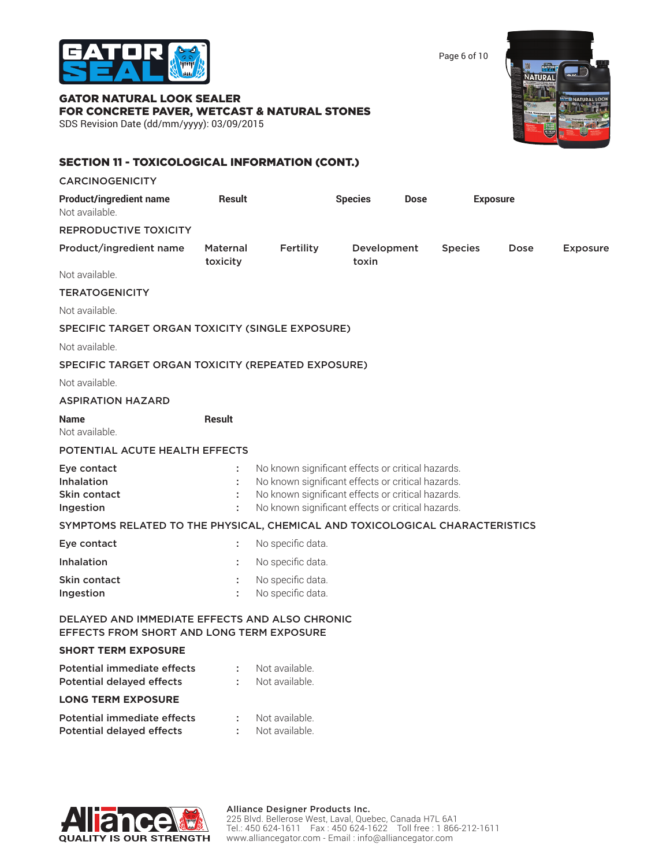

Page 6 of 10

# GATOR NATURAL LOOK SEALER FOR CONCRETE PAVER, WETCAST & NATURAL STONES

SDS Revision Date (dd/mm/yyyy): 03/09/2015



# SECTION 11 - TOXICOLOGICAL INFORMATION (CONT.)

| <b>CARCINOGENICITY</b>                                                                      |                      |                                                                                                                                                                                                                  |                      |             |                |                 |                 |
|---------------------------------------------------------------------------------------------|----------------------|------------------------------------------------------------------------------------------------------------------------------------------------------------------------------------------------------------------|----------------------|-------------|----------------|-----------------|-----------------|
| <b>Product/ingredient name</b><br>Not available.                                            | Result               |                                                                                                                                                                                                                  | <b>Species</b>       | <b>Dose</b> |                | <b>Exposure</b> |                 |
| <b>REPRODUCTIVE TOXICITY</b>                                                                |                      |                                                                                                                                                                                                                  |                      |             |                |                 |                 |
| Product/ingredient name                                                                     | Maternal<br>toxicity | Fertility                                                                                                                                                                                                        | Development<br>toxin |             | <b>Species</b> | Dose            | <b>Exposure</b> |
| Not available.                                                                              |                      |                                                                                                                                                                                                                  |                      |             |                |                 |                 |
| <b>TERATOGENICITY</b>                                                                       |                      |                                                                                                                                                                                                                  |                      |             |                |                 |                 |
| Not available.                                                                              |                      |                                                                                                                                                                                                                  |                      |             |                |                 |                 |
| SPECIFIC TARGET ORGAN TOXICITY (SINGLE EXPOSURE)                                            |                      |                                                                                                                                                                                                                  |                      |             |                |                 |                 |
| Not available.                                                                              |                      |                                                                                                                                                                                                                  |                      |             |                |                 |                 |
| SPECIFIC TARGET ORGAN TOXICITY (REPEATED EXPOSURE)                                          |                      |                                                                                                                                                                                                                  |                      |             |                |                 |                 |
| Not available.                                                                              |                      |                                                                                                                                                                                                                  |                      |             |                |                 |                 |
| <b>ASPIRATION HAZARD</b>                                                                    |                      |                                                                                                                                                                                                                  |                      |             |                |                 |                 |
| <b>Name</b><br>Not available.                                                               | <b>Result</b>        |                                                                                                                                                                                                                  |                      |             |                |                 |                 |
| POTENTIAL ACUTE HEALTH EFFECTS                                                              |                      |                                                                                                                                                                                                                  |                      |             |                |                 |                 |
| Eye contact<br><b>Inhalation</b><br>Skin contact<br>Ingestion                               |                      | No known significant effects or critical hazards.<br>No known significant effects or critical hazards.<br>No known significant effects or critical hazards.<br>No known significant effects or critical hazards. |                      |             |                |                 |                 |
| SYMPTOMS RELATED TO THE PHYSICAL, CHEMICAL AND TOXICOLOGICAL CHARACTERISTICS                |                      |                                                                                                                                                                                                                  |                      |             |                |                 |                 |
| Eye contact                                                                                 | ÷                    | No specific data.                                                                                                                                                                                                |                      |             |                |                 |                 |
| <b>Inhalation</b>                                                                           |                      | No specific data.                                                                                                                                                                                                |                      |             |                |                 |                 |
| Skin contact<br><b>Ingestion</b>                                                            |                      | No specific data.<br>No specific data.                                                                                                                                                                           |                      |             |                |                 |                 |
| DELAYED AND IMMEDIATE EFFECTS AND ALSO CHRONIC<br>EFFECTS FROM SHORT AND LONG TERM EXPOSURE |                      |                                                                                                                                                                                                                  |                      |             |                |                 |                 |
| <b>SHORT TERM EXPOSURE</b>                                                                  |                      |                                                                                                                                                                                                                  |                      |             |                |                 |                 |
| Potential immediate effects<br><b>Potential delayed effects</b>                             | ÷<br>÷               | Not available.<br>Not available.                                                                                                                                                                                 |                      |             |                |                 |                 |
| <b>LONG TERM EXPOSURE</b>                                                                   |                      |                                                                                                                                                                                                                  |                      |             |                |                 |                 |
| Potential immediate effects<br><b>Potential delayed effects</b>                             | ÷                    | Not available.<br>Not available.                                                                                                                                                                                 |                      |             |                |                 |                 |

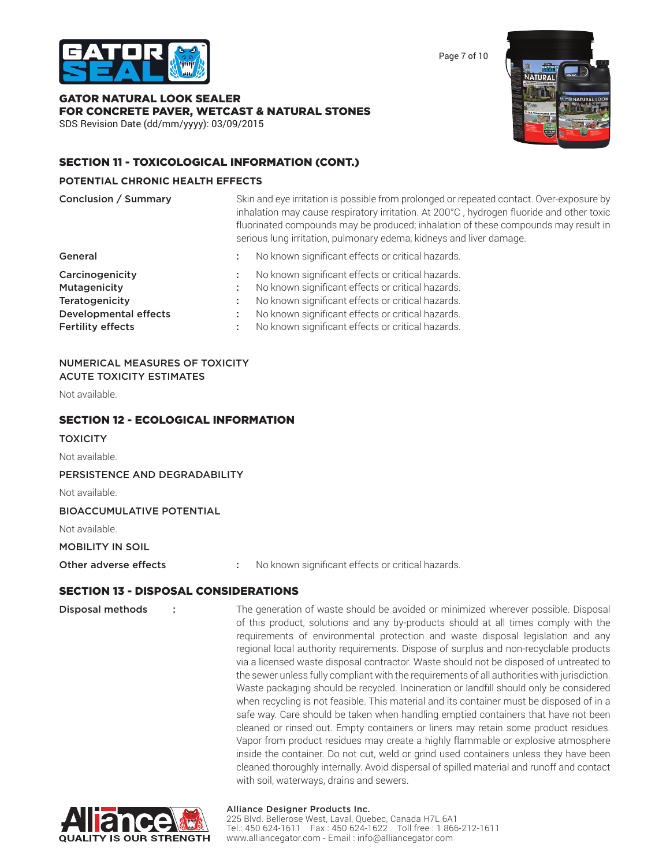

Page 7 of 10

# GATOR NATURAL LOOK SEALER FOR CONCRETE PAVER, WETCAST & NATURAL STONES

SDS Revision Date (dd/mm/yyyy): 03/09/2015



# SECTION 11 - TOXICOLOGICAL INFORMATION (CONT.)

### **POTENTIAL CHRONIC HEALTH EFFECTS**

| Conclusion / Summary                                                                                                 | Skin and eye irritation is possible from prolonged or repeated contact. Over-exposure by<br>inhalation may cause respiratory irritation. At 200°C, hydrogen fluoride and other toxic<br>fluorinated compounds may be produced; inhalation of these compounds may result in<br>serious lung irritation, pulmonary edema, kidneys and liver damage. |
|----------------------------------------------------------------------------------------------------------------------|---------------------------------------------------------------------------------------------------------------------------------------------------------------------------------------------------------------------------------------------------------------------------------------------------------------------------------------------------|
| General                                                                                                              | No known significant effects or critical hazards.                                                                                                                                                                                                                                                                                                 |
| Carcinogenicity<br>Mutagenicity<br><b>Teratogenicity</b><br><b>Developmental effects</b><br><b>Fertility effects</b> | No known significant effects or critical hazards.<br>No known significant effects or critical hazards.<br>No known significant effects or critical hazards.<br>No known significant effects or critical hazards.<br>No known significant effects or critical hazards.                                                                             |

#### NUMERICAL MEASURES OF TOXICITY ACUTE TOXICITY ESTIMATES

Not available.

### SECTION 12 - ECOLOGICAL INFORMATION

**TOXICITY** 

Not available.

PERSISTENCE AND DEGRADABILITY

Not available.

BIOACCUMULATIVE POTENTIAL

Not available.

MOBILITY IN SOIL

Other adverse effects : No known significant effects or critical hazards.

### SECTION 13 - DISPOSAL CONSIDERATIONS

**Disposal methods** : The generation of waste should be avoided or minimized wherever possible. Disposal of this product, solutions and any by-products should at all times comply with the requirements of environmental protection and waste disposal legislation and any regional local authority requirements. Dispose of surplus and non-recyclable products via a licensed waste disposal contractor. Waste should not be disposed of untreated to the sewer unless fully compliant with the requirements of all authorities with jurisdiction. Waste packaging should be recycled. Incineration or landfill should only be considered when recycling is not feasible. This material and its container must be disposed of in a safe way. Care should be taken when handling emptied containers that have not been cleaned or rinsed out. Empty containers or liners may retain some product residues. Vapor from product residues may create a highly flammable or explosive atmosphere inside the container. Do not cut, weld or grind used containers unless they have been cleaned thoroughly internally. Avoid dispersal of spilled material and runoff and contact with soil, waterways, drains and sewers.



### Alliance Designer Products Inc.

225 Blvd. Bellerose West, Laval, Quebec, Canada H7L 6A1 Tel.: 450 624-1611 Fax : 450 624-1622 Toll free : 1 866-212-1611 www.alliancegator.com - Email : info@alliancegator.com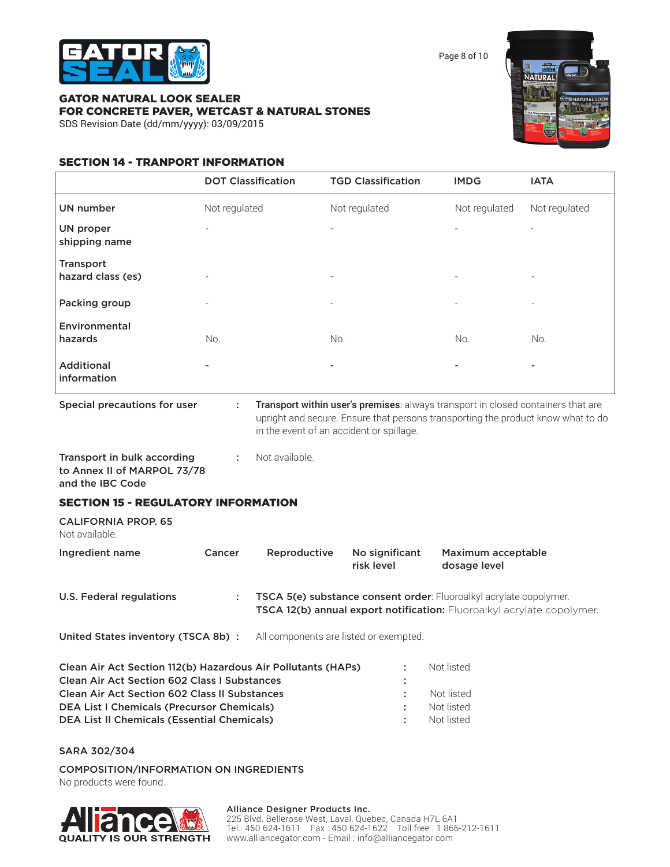

Page 8 of 10

# GATOR NATURAL LOOK SEALER FOR CONCRETE PAVER, WETCAST & NATURAL STONES



SDS Revision Date (dd/mm/yyyy): 03/09/2015

# SECTION 14 - TRANPORT INFORMATION

|                                                                                | <b>DOT Classification</b> |                | <b>TGD Classification</b>                                                                                                                                                                                        | <b>IMDG</b>   | <b>IATA</b>   |
|--------------------------------------------------------------------------------|---------------------------|----------------|------------------------------------------------------------------------------------------------------------------------------------------------------------------------------------------------------------------|---------------|---------------|
| <b>UN number</b>                                                               | Not regulated             |                | Not regulated                                                                                                                                                                                                    | Not regulated | Not regulated |
| UN proper<br>shipping name                                                     |                           |                |                                                                                                                                                                                                                  |               |               |
| <b>Transport</b><br>hazard class (es)                                          |                           |                |                                                                                                                                                                                                                  |               |               |
| Packing group                                                                  |                           |                | $\equiv$                                                                                                                                                                                                         |               |               |
| Environmental<br>hazards                                                       | No.                       |                | No.                                                                                                                                                                                                              | No.           | No.           |
| <b>Additional</b><br>information                                               |                           |                |                                                                                                                                                                                                                  |               |               |
| Special precautions for user                                                   | ÷                         |                | Transport within user's premises: always transport in closed containers that are<br>upright and secure. Ensure that persons transporting the product know what to do<br>in the event of an accident or spillage. |               |               |
| Transport in bulk according<br>to Annex II of MARPOL 73/78<br>and the IBC Code | ÷                         | Not available. |                                                                                                                                                                                                                  |               |               |

# SECTION 15 - REGULATORY INFORMATION

CALIFORNIA PROP. 65 Not available.

| Ingredient name          | Cancer | Reproductive | No significant<br>risk level | Maximum acceptable<br>dosage level                                                                                                           |
|--------------------------|--------|--------------|------------------------------|----------------------------------------------------------------------------------------------------------------------------------------------|
| U.S. Federal regulations |        |              |                              | TSCA 5(e) substance consent order: Fluoroalkyl acrylate copolymer.<br>TSCA 12(b) annual export notification: Fluoroalkyl acrylate copolymer. |

United States inventory (TSCA 8b) : All components are listed or exempted.

| Clean Air Act Section 112(b) Hazardous Air Pollutants (HAPs) | ÷  | Not listed |
|--------------------------------------------------------------|----|------------|
| <b>Clean Air Act Section 602 Class I Substances</b>          | ÷  |            |
| <b>Clean Air Act Section 602 Class II Substances</b>         |    | Not listed |
| <b>DEA List I Chemicals (Precursor Chemicals)</b>            | ÷  | Not listed |
| <b>DEA List II Chemicals (Essential Chemicals)</b>           | л. | Not listed |

SARA 302/304

COMPOSITION/INFORMATION ON INGREDIENTS

No products were found.



#### Alliance Designer Products Inc.

225 Blvd. Bellerose West, Laval, Quebec, Canada H7L 6A1 Tel.: 450 624-1611 Fax : 450 624-1622 Toll free : 1 866-212-1611 www.alliancegator.com - Email : info@alliancegator.com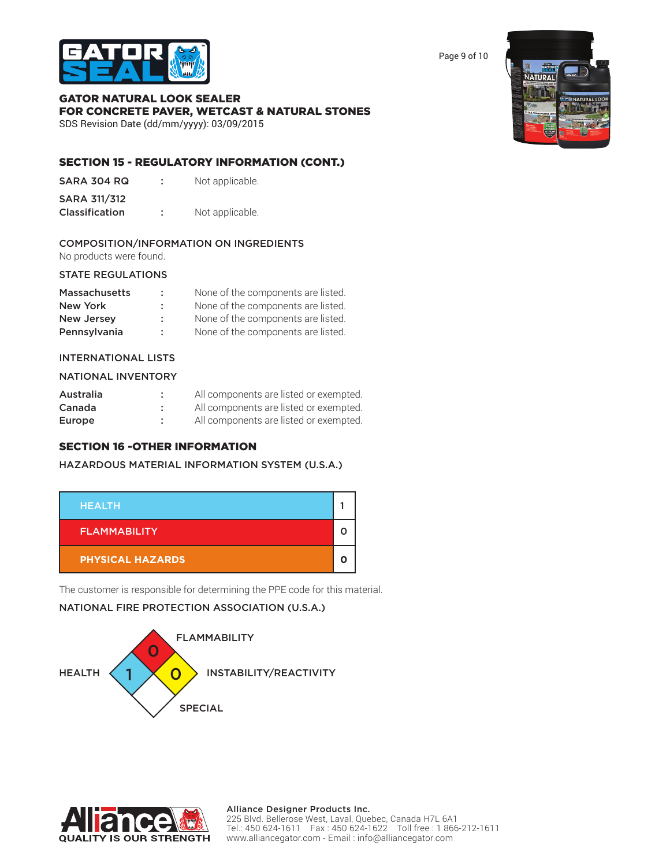

Page 9 of 10

# GATOR NATURAL LOOK SEALER FOR CONCRETE PAVER, WETCAST & NATURAL STONES

SDS Revision Date (dd/mm/yyyy): 03/09/2015

# SECTION 15 - REGULATORY INFORMATION (CONT.)

| SARA 304 RQ |  | Not applicable. |
|-------------|--|-----------------|
|-------------|--|-----------------|

| SARA 311/312      |                |
|-------------------|----------------|
| $C$ laccification | Not applicable |

# **Classification : Not** applicable.

# COMPOSITION/INFORMATION ON INGREDIENTS

No products were found.

### STATE REGULATIONS

| <b>Massachusetts</b> | ÷  | None of the components are listed. |
|----------------------|----|------------------------------------|
| New York             | ÷. | None of the components are listed. |
| <b>New Jersey</b>    | ÷. | None of the components are listed. |
| Pennsylvania         | ÷. | None of the components are listed. |

# INTERNATIONAL LISTS

### NATIONAL INVENTORY

| Australia | All components are listed or exempted. |
|-----------|----------------------------------------|
| Canada    | All components are listed or exempted. |
| Europe    | All components are listed or exempted. |

# SECTION 16 -OTHER INFORMATION

HAZARDOUS MATERIAL INFORMATION SYSTEM (U.S.A.)



The customer is responsible for determining the PPE code for this material.

# NATIONAL FIRE PROTECTION ASSOCIATION (U.S.A.)